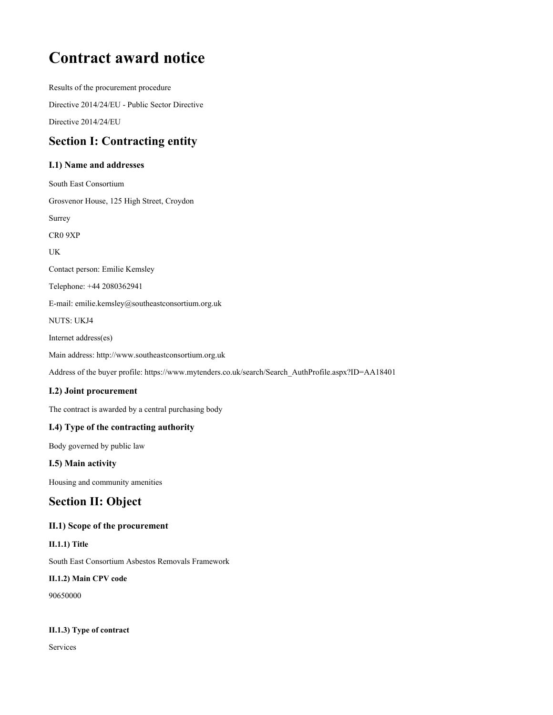# **Contract award notice**

**Results of the procurement procedure Directive 2014/24/EU - Public Sector Directive Directive 2014/24/EU**

# **Section I: Contracting entity**

#### **I.1) Name and addresses**

**South East Consortium Grosvenor House, 125 High Street, Croydon Surrey CR0 9XP UK Contact person: Emilie Kemsley Telephone: +44 2080362941 E-mail: emilie.kemsley@southeastconsortium.org.uk NUTS: UKJ4 Internet address(es) Main address: http://www.southeastconsortium.org.uk Address of the buyer profile: https://www.mytenders.co.uk/search/Search\_AuthProfile.aspx?ID=AA18401**

## **I.2) Joint procurement**

**The contract is awarded by a central purchasing body**

## **I.4) Type of the contracting authority**

**Body governed by public law**

#### **I.5) Main activity**

**Housing and community amenities**

# **Section II: Object**

#### **II.1) Scope of the procurement**

**II.1.1) Title**

**South East Consortium Asbestos Removals Framework**

#### **II.1.2) Main CPV code**

**90650000**

#### **II.1.3) Type of contract**

**Services**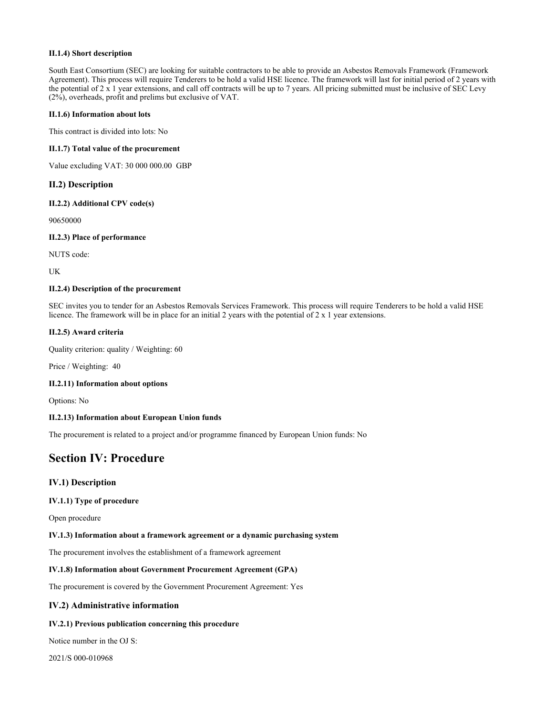#### **II.1.4) Short description**

South East Consortium (SEC) are looking for suitable contractors to be able to provide an Asbestos Removals Framework (Framework Agreement). This process will require Tenderers to be hold a valid HSE licence. The framework will last for initial period of 2 years with the potential of  $2 \times 1$  year extensions, and call off contracts will be up to 7 years. All pricing submitted must be inclusive of SEC Levy **(2%), overheads, profit and prelims but exclusive of VAT.**

#### **II.1.6) Information about lots**

**This contract is divided into lots: No**

#### **II.1.7) Total value of the procurement**

**Value excluding VAT: 30 000 000.00 GBP**

#### **II.2) Description**

#### **II.2.2) Additional CPV code(s)**

**90650000**

#### **II.2.3) Place of performance**

**NUTS code:**

**UK**

#### **II.2.4) Description of the procurement**

SEC invites you to tender for an Asbestos Removals Services Framework. This process will require Tenderers to be hold a valid HSE licence. The framework will be in place for an initial 2 years with the potential of  $2 \times 1$  year extensions.

#### **II.2.5) Award criteria**

**Quality criterion: quality / Weighting: 60**

**Price / Weighting: 40**

#### **II.2.11) Information about options**

**Options: No**

#### **II.2.13) Information about European Union funds**

**The procurement is related to a project and/or programme financed by European Union funds: No**

# **Section IV: Procedure**

#### **IV.1) Description**

#### **IV.1.1) Type of procedure**

**Open procedure**

#### **IV.1.3) Information about a framework agreement or a dynamic purchasing system**

**The procurement involves the establishment of a framework agreement**

#### **IV.1.8) Information about Government Procurement Agreement (GPA)**

**The procurement is covered by the Government Procurement Agreement: Yes**

#### **IV.2) Administrative information**

#### **IV.2.1) Previous publication concerning this procedure**

**Notice number in the OJ S:**

**2021/S 000-010968**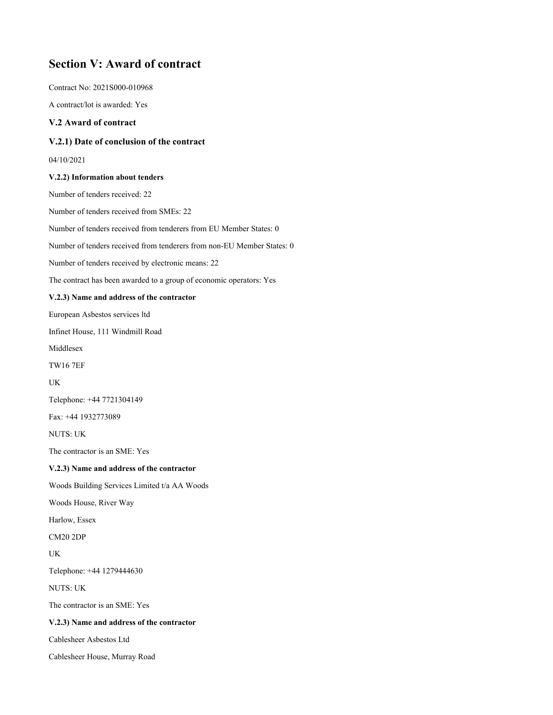# **Section V: Award of contract**

**Contract No: 2021S000-010968**

**A contract/lot is awarded: Yes**

#### **V.2 Award of contract**

#### **V.2.1) Date of conclusion of the contract**

**04/10/2021**

#### **V.2.2) Information about tenders**

**Number of tenders received: 22 Number of tenders received from SMEs: 22 Number of tenders received from tenderers from EU Member States: 0 Number of tenders received from tenderers from non-EU Member States: 0 Number of tenders received by electronic means: 22 The contract has been awarded to a group of economic operators: Yes V.2.3) Name and address of the contractor European Asbestos services ltd Infinet House, 111 Windmill Road Middlesex TW16 7EF UK Telephone: +44 7721304149 Fax: +44 1932773089 NUTS: UK The contractor is an SME: Yes V.2.3) Name and address of the contractor Woods Building Services Limited t/a AA Woods Woods House, River Way Harlow, Essex CM20 2DP UK Telephone: +44 1279444630 NUTS: UK The contractor is an SME: Yes V.2.3) Name and address of the contractor Cablesheer Asbestos Ltd Cablesheer House, Murray Road**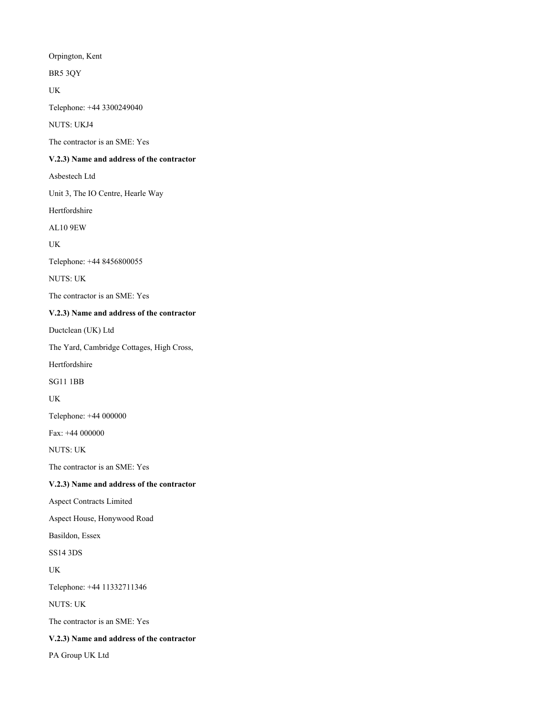**Orpington, Kent**

**BR5 3QY**

**UK**

**Telephone: +44 3300249040**

**NUTS: UKJ4**

**The contractor is an SME: Yes**

#### **V.2.3) Name and address of the contractor**

**Asbestech Ltd**

**Unit 3, The IO Centre, Hearle Way**

**Hertfordshire**

**AL10 9EW**

**UK**

**Telephone: +44 8456800055**

**NUTS: UK**

**The contractor is an SME: Yes**

#### **V.2.3) Name and address of the contractor**

**Ductclean (UK) Ltd**

**The Yard, Cambridge Cottages, High Cross,**

**Hertfordshire**

**SG11 1BB**

**UK**

**Telephone: +44 000000**

**Fax: +44 000000**

**NUTS: UK**

**The contractor is an SME: Yes**

#### **V.2.3) Name and address of the contractor**

**Aspect Contracts Limited**

**Aspect House, Honywood Road**

**Basildon, Essex**

**SS14 3DS**

**UK**

**Telephone: +44 11332711346**

**NUTS: UK**

**The contractor is an SME: Yes**

#### **V.2.3) Name and address of the contractor**

**PA Group UK Ltd**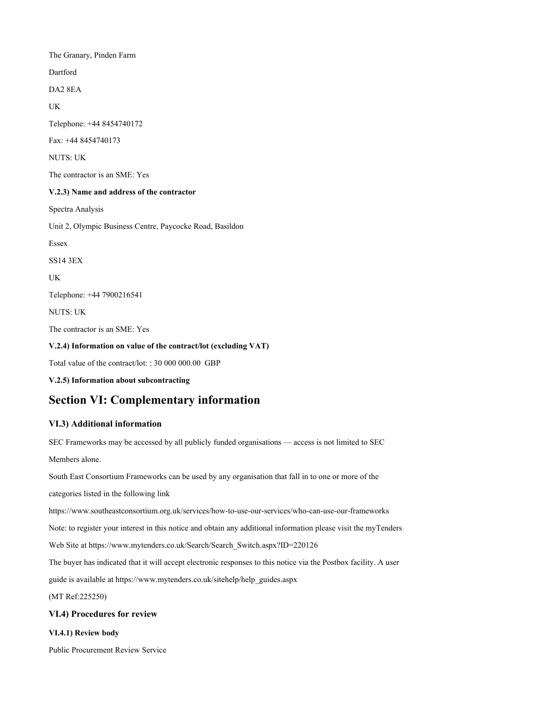**The Granary, Pinden Farm Dartford DA2 8EA UK Telephone: +44 8454740172 Fax: +44 8454740173 NUTS: UK The contractor is an SME: Yes V.2.3) Name and address of the contractor Spectra Analysis Unit 2, Olympic Business Centre, Paycocke Road, Basildon Essex SS14 3EX UK Telephone: +44 7900216541 NUTS: UK The contractor is an SME: Yes V.2.4) Information on value of the contract/lot (excluding VAT) Total value of the contract/lot: : 30 000 000.00 GBP V.2.5) Information about subcontracting Section VI: Complementary information**

# **VI.3) Additional information**

**SEC Frameworks may be accessed by all publicly funded organisations — access is not limited to SEC Members alone.** South East Consortium Frameworks can be used by any organisation that fall in to one or more of the **categories listed in the following link https://www.southeastconsortium.org.uk/services/how-to-use-our-services/who-can-use-our-frameworks** Note: to register your interest in this notice and obtain any additional information please visit the myTenders **Web Site at https://www.mytenders.co.uk/Search/Search\_Switch.aspx?ID=220126** The buyer has indicated that it will accept electronic responses to this notice via the Postbox facility. A user **guide is available at https://www.mytenders.co.uk/sitehelp/help\_guides.aspx (MT Ref:225250) VI.4) Procedures for review VI.4.1) Review body**

#### **Public Procurement Review Service**